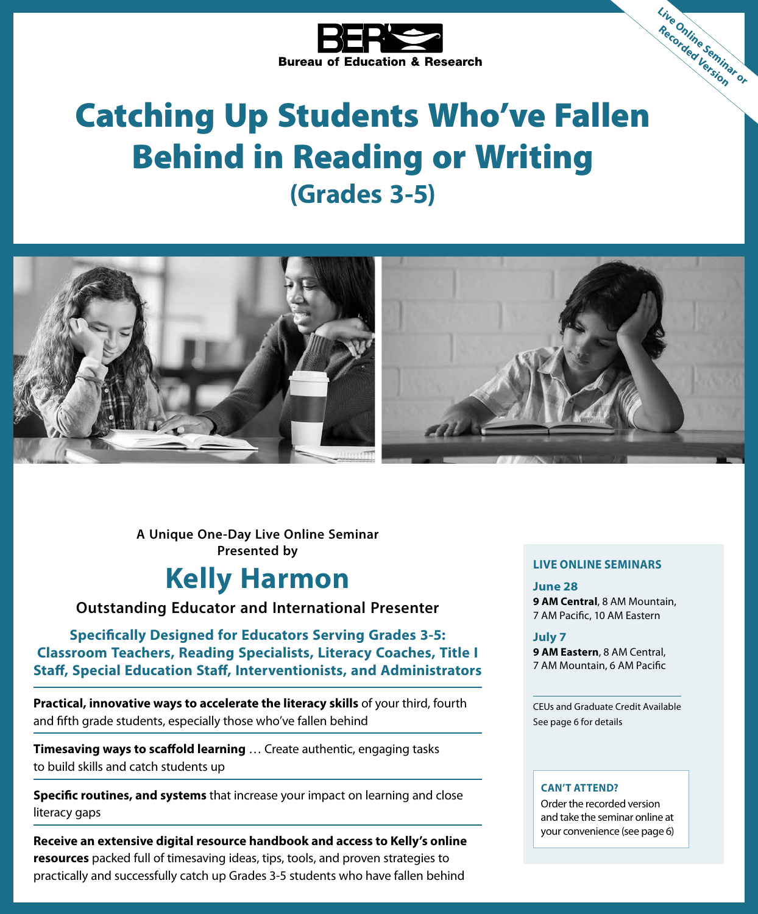

# Catching Up Students Who've Fallen Behind in Reading or Writing **(Grades 3-5)**



**A Unique One-Day Live Online Seminar Presented by**

# **Kelly Harmon**

**Outstanding Educator and International Presenter**

**Specifically Designed for Educators Serving Grades 3-5: Classroom Teachers, Reading Specialists, Literacy Coaches, Title I Staff, Special Education Staff, Interventionists, and Administrators**

**Practical, innovative ways to accelerate the literacy skills** of your third, fourth and fifth grade students, especially those who've fallen behind

**Timesaving ways to scaffold learning** … Create authentic, engaging tasks to build skills and catch students up

**Specific routines, and systems** that increase your impact on learning and close literacy gaps

**Receive an extensive digital resource handbook and access to Kelly's online resources** packed full of timesaving ideas, tips, tools, and proven strategies to practically and successfully catch up Grades 3-5 students who have fallen behind

#### **LIVE ONLINE SEMINARS**

**Live Online Seminar or Recorded Version**

**June 28**

**9 AM Central**, 8 AM Mountain, 7 AM Pacific, 10 AM Eastern

#### **July 7**

**9 AM Eastern**, 8 AM Central, 7 AM Mountain, 6 AM Pacific

CEUs and Graduate Credit Available See page 6 for details

#### **CAN'T ATTEND?**

Order the recorded version and take the seminar online at your convenience (see page 6)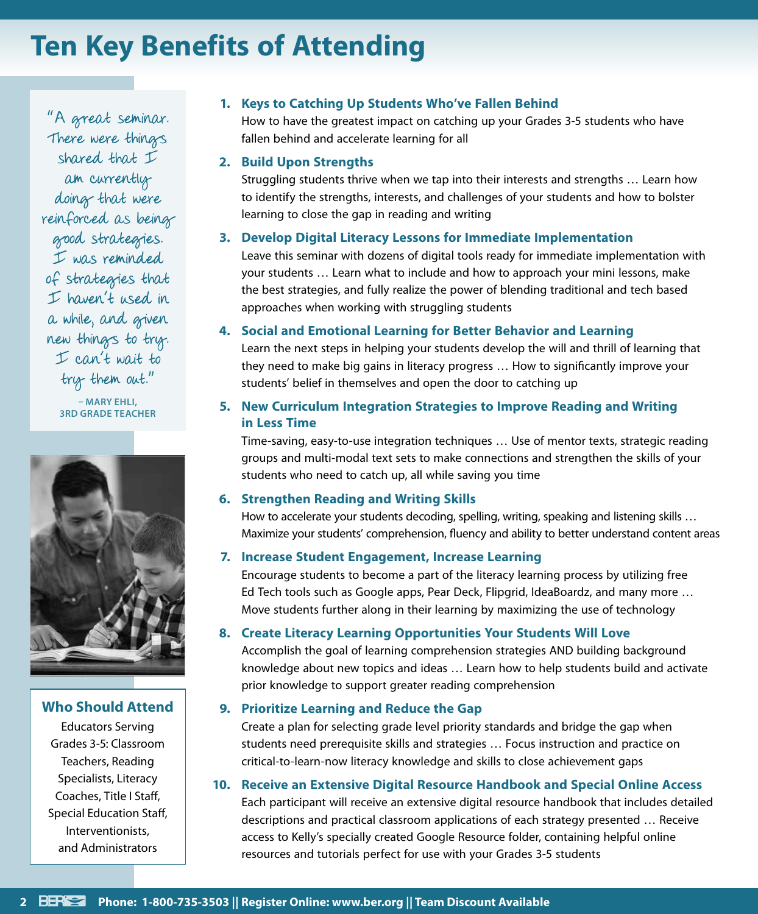# **Ten Key Benefits of Attending**

"A great seminar. There were things shared that  $\dot{\mathcal{I}}$ am currently doing that were reinforced as being good strategies. I was reminded of strategies that I haven't used in a while, and given new things to try. I can't wait to try them out."

> **– MARY EHLI, 3RD GRADE TEACHER**



### **Who Should Attend**

Educators Serving Grades 3-5: Classroom Teachers, Reading Specialists, Literacy Coaches, Title I Staff, Special Education Staff, Interventionists, and Administrators

## **1. Keys to Catching Up Students Who've Fallen Behind**

How to have the greatest impact on catching up your Grades 3-5 students who have fallen behind and accelerate learning for all

### **2. Build Upon Strengths**

Struggling students thrive when we tap into their interests and strengths … Learn how to identify the strengths, interests, and challenges of your students and how to bolster learning to close the gap in reading and writing

### **3. Develop Digital Literacy Lessons for Immediate Implementation**

Leave this seminar with dozens of digital tools ready for immediate implementation with your students … Learn what to include and how to approach your mini lessons, make the best strategies, and fully realize the power of blending traditional and tech based approaches when working with struggling students

### **4. Social and Emotional Learning for Better Behavior and Learning**

Learn the next steps in helping your students develop the will and thrill of learning that they need to make big gains in literacy progress … How to significantly improve your students' belief in themselves and open the door to catching up

## **5. New Curriculum Integration Strategies to Improve Reading and Writing in Less Time**

Time-saving, easy-to-use integration techniques … Use of mentor texts, strategic reading groups and multi-modal text sets to make connections and strengthen the skills of your students who need to catch up, all while saving you time

### **6. Strengthen Reading and Writing Skills**

How to accelerate your students decoding, spelling, writing, speaking and listening skills … Maximize your students' comprehension, fluency and ability to better understand content areas

### **7. Increase Student Engagement, Increase Learning**

Encourage students to become a part of the literacy learning process by utilizing free Ed Tech tools such as Google apps, Pear Deck, Flipgrid, IdeaBoardz, and many more … Move students further along in their learning by maximizing the use of technology

### **8. Create Literacy Learning Opportunities Your Students Will Love**

Accomplish the goal of learning comprehension strategies AND building background knowledge about new topics and ideas … Learn how to help students build and activate prior knowledge to support greater reading comprehension

### **9. Prioritize Learning and Reduce the Gap**

Create a plan for selecting grade level priority standards and bridge the gap when students need prerequisite skills and strategies … Focus instruction and practice on critical-to-learn-now literacy knowledge and skills to close achievement gaps

## **10. Receive an Extensive Digital Resource Handbook and Special Online Access**

Each participant will receive an extensive digital resource handbook that includes detailed descriptions and practical classroom applications of each strategy presented … Receive access to Kelly's specially created Google Resource folder, containing helpful online resources and tutorials perfect for use with your Grades 3-5 students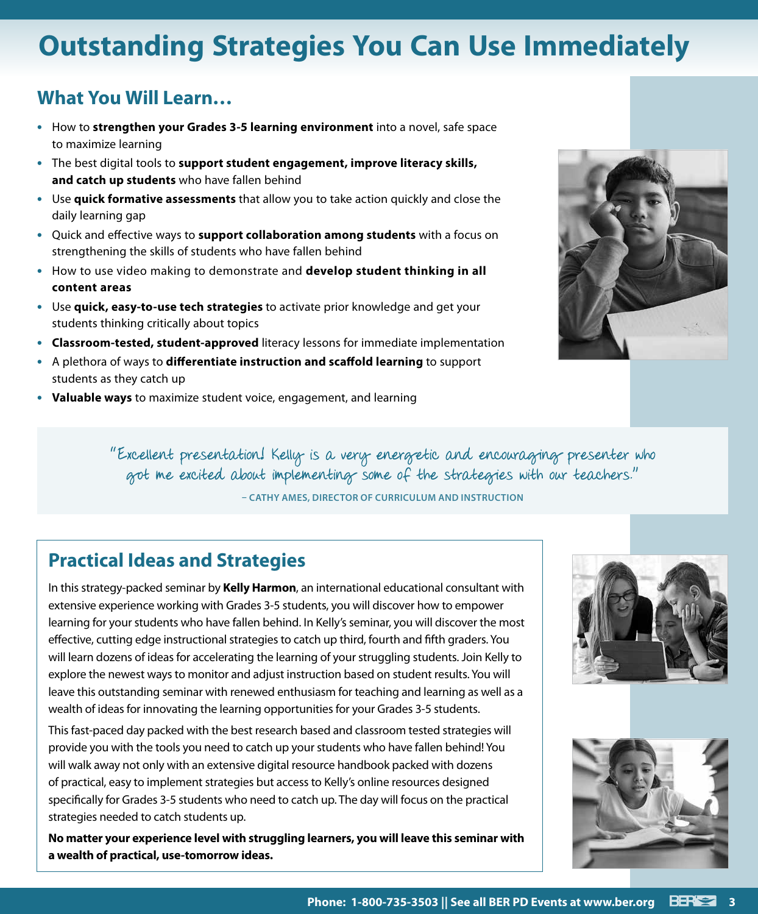# **Outstanding Strategies You Can Use Immediately**

# **What You Will Learn…**

- **•** How to **strengthen your Grades 3-5 learning environment** into a novel, safe space to maximize learning
- **•** The best digital tools to **support student engagement, improve literacy skills, and catch up students** who have fallen behind
- **•** Use **quick formative assessments** that allow you to take action quickly and close the daily learning gap
- **•** Quick and effective ways to **support collaboration among students** with a focus on strengthening the skills of students who have fallen behind
- **•** How to use video making to demonstrate and **develop student thinking in all content areas**
- **•** Use **quick, easy-to-use tech strategies** to activate prior knowledge and get your students thinking critically about topics
- **• Classroom-tested, student-approved** literacy lessons for immediate implementation
- **•** A plethora of ways to **differentiate instruction and scaffold learning** to support students as they catch up
- **• Valuable ways** to maximize student voice, engagement, and learning



"Excellent presentation! Kelly is a very energetic and encouraging presenter who got me excited about implementing some of the strategies with our teachers."

**– CATHY AMES, DIRECTOR OF CURRICULUM AND INSTRUCTION**

# **Practical Ideas and Strategies**

In this strategy-packed seminar by **Kelly Harmon**, an international educational consultant with extensive experience working with Grades 3-5 students, you will discover how to empower learning for your students who have fallen behind. In Kelly's seminar, you will discover the most effective, cutting edge instructional strategies to catch up third, fourth and fifth graders. You will learn dozens of ideas for accelerating the learning of your struggling students. Join Kelly to explore the newest ways to monitor and adjust instruction based on student results. You will leave this outstanding seminar with renewed enthusiasm for teaching and learning as well as a wealth of ideas for innovating the learning opportunities for your Grades 3-5 students.

This fast-paced day packed with the best research based and classroom tested strategies will provide you with the tools you need to catch up your students who have fallen behind! You will walk away not only with an extensive digital resource handbook packed with dozens of practical, easy to implement strategies but access to Kelly's online resources designed specifically for Grades 3-5 students who need to catch up. The day will focus on the practical strategies needed to catch students up.

**No matter your experience level with struggling learners, you will leave this seminar with a wealth of practical, use-tomorrow ideas.**



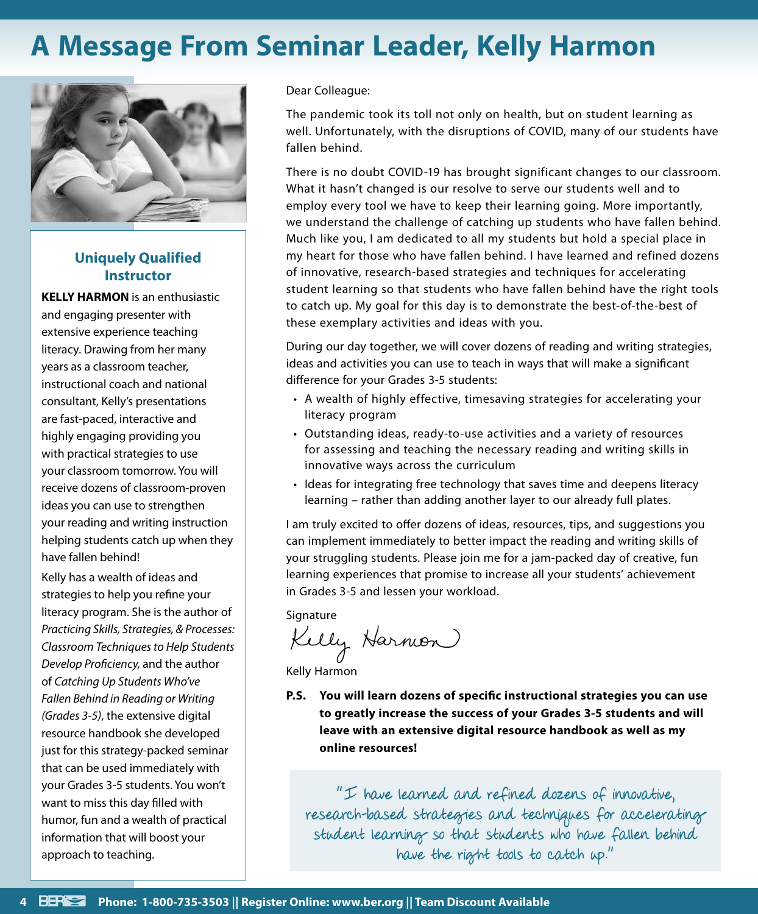# **A Message From Seminar Leader, Kelly Harmon**



## **Uniquely Qualified Instructor**

**KELLY HARMON** is an enthusiastic and engaging presenter with extensive experience teaching literacy. Drawing from her many years as a classroom teacher, instructional coach and national consultant, Kelly's presentations are fast-paced, interactive and highly engaging providing you with practical strategies to use your classroom tomorrow. You will receive dozens of classroom-proven ideas you can use to strengthen your reading and writing instruction helping students catch up when they have fallen behind!

Kelly has a wealth of ideas and strategies to help you refine your literacy program. She is the author of *Practicing Skills, Strategies, & Processes: Classroom Techniques to Help Students Develop Proficiency,* and the author of *Catching Up Students Who've Fallen Behind in Reading or Writing (Grades 3-5)*, the extensive digital resource handbook she developed just for this strategy-packed seminar that can be used immediately with your Grades 3-5 students. You won't want to miss this day filled with humor, fun and a wealth of practical information that will boost your approach to teaching.

Dear Colleague:

The pandemic took its toll not only on health, but on student learning as well. Unfortunately, with the disruptions of COVID, many of our students have fallen behind.

There is no doubt COVID-19 has brought significant changes to our classroom. What it hasn't changed is our resolve to serve our students well and to employ every tool we have to keep their learning going. More importantly, we understand the challenge of catching up students who have fallen behind. Much like you, I am dedicated to all my students but hold a special place in my heart for those who have fallen behind. I have learned and refined dozens of innovative, research-based strategies and techniques for accelerating student learning so that students who have fallen behind have the right tools to catch up. My goal for this day is to demonstrate the best-of-the-best of these exemplary activities and ideas with you.

During our day together, we will cover dozens of reading and writing strategies, ideas and activities you can use to teach in ways that will make a significant difference for your Grades 3-5 students:

- A wealth of highly effective, timesaving strategies for accelerating your literacy program
- Outstanding ideas, ready-to-use activities and a variety of resources for assessing and teaching the necessary reading and writing skills in innovative ways across the curriculum
- Ideas for integrating free technology that saves time and deepens literacy learning – rather than adding another layer to our already full plates.

I am truly excited to offer dozens of ideas, resources, tips, and suggestions you can implement immediately to better impact the reading and writing skills of your struggling students. Please join me for a jam-packed day of creative, fun learning experiences that promise to increase all your students' achievement in Grades 3-5 and lessen your workload.

Signature

Kelly Harmon

Kelly Harmon

**P.S. You will learn dozens of specific instructional strategies you can use to greatly increase the success of your Grades 3-5 students and will leave with an extensive digital resource handbook as well as my online resources!**

"I have learned and refined dozens of innovative, research-based strategies and techniques for accelerating student learning so that students who have fallen behind have the right tools to catch up."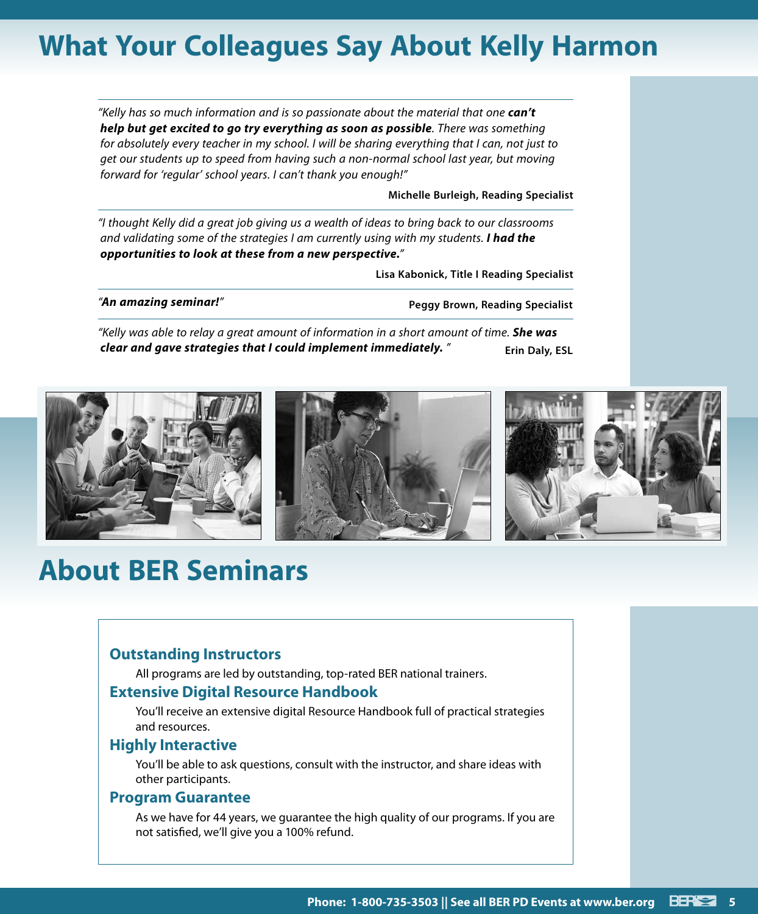# **What Your Colleagues Say About Kelly Harmon**

*"Kelly has so much information and is so passionate about the material that one can't help but get excited to go try everything as soon as possible. There was something for absolutely every teacher in my school. I will be sharing everything that I can, not just to get our students up to speed from having such a non-normal school last year, but moving forward for 'regular' school years. I can't thank you enough!"*

**Michelle Burleigh, Reading Specialist**

*"I thought Kelly did a great job giving us a wealth of ideas to bring back to our classrooms and validating some of the strategies I am currently using with my students. I had the opportunities to look at these from a new perspective."*

**Lisa Kabonick, Title I Reading Specialist**

*"An amazing seminar!"* **Peggy Brown, Reading Specialist**

*"Kelly was able to relay a great amount of information in a short amount of time. She was clear and gave strategies that I could implement immediately. "* Erin Daly, ESL



# **About BER Seminars**

## **Outstanding Instructors**

All programs are led by outstanding, top-rated BER national trainers.

### **Extensive Digital Resource Handbook**

You'll receive an extensive digital Resource Handbook full of practical strategies and resources.

#### **Highly Interactive**

You'll be able to ask questions, consult with the instructor, and share ideas with other participants.

#### **Program Guarantee**

As we have for 44 years, we guarantee the high quality of our programs. If you are not satisfied, we'll give you a 100% refund.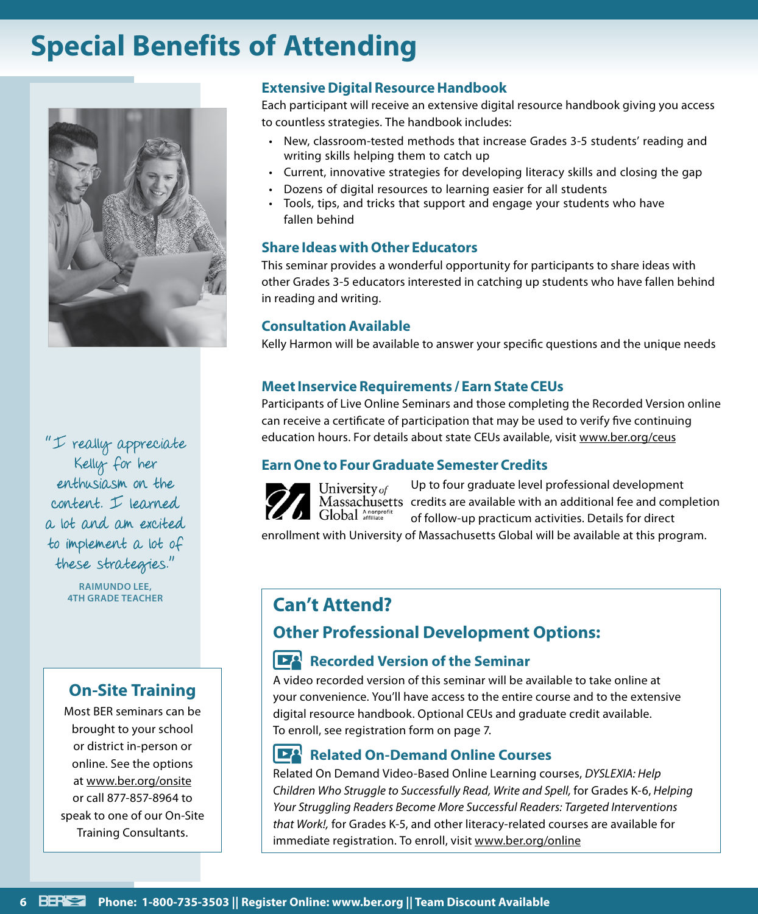# **Special Benefits of Attending**



"I really appreciate Kelly for her enthusiasm on the content. I learned a lot and am excited to implement a lot of these strategies."

**RAIMUNDO LEE,** 

# **On-Site Training**

Most BER seminars can be brought to your school or district in-person or online. See the options at www.ber.org/onsite or call 877-857-8964 to speak to one of our On-Site Training Consultants.

# **Extensive Digital Resource Handbook**

Each participant will receive an extensive digital resource handbook giving you access to countless strategies. The handbook includes:

- New, classroom-tested methods that increase Grades 3-5 students' reading and writing skills helping them to catch up
- Current, innovative strategies for developing literacy skills and closing the gap
- Dozens of digital resources to learning easier for all students
- Tools, tips, and tricks that support and engage your students who have fallen behind

## **Share Ideas with Other Educators**

This seminar provides a wonderful opportunity for participants to share ideas with other Grades 3-5 educators interested in catching up students who have fallen behind in reading and writing.

# **Consultation Available**

Kelly Harmon will be available to answer your specific questions and the unique needs

## **Meet Inservice Requirements / Earn State CEUs**

Participants of Live Online Seminars and those completing the Recorded Version online can receive a certificate of participation that may be used to verify five continuing education hours. For details about state CEUs available, visit www.ber.org/ceus

# **Earn One to Four Graduate Semester Credits**



University of

Up to four graduate level professional development Massachusetts credits are available with an additional fee and completion of follow-up practicum activities. Details for direct

enrollment with University of Massachusetts Global will be available at this program.

# **Can't Attend?**

# **Other Professional Development Options:**

#### **IEA Recorded Version of the Seminar**

A video recorded version of this seminar will be available to take online at your convenience. You'll have access to the entire course and to the extensive digital resource handbook. Optional CEUs and graduate credit available. To enroll, see registration form on page 7.

# **Related On-Demand Online Courses**

Related On Demand Video-Based Online Learning courses, *DYSLEXIA: Help Children Who Struggle to Successfully Read, Write and Spell,* for Grades K-6, *Helping Your Struggling Readers Become More Successful Readers: Targeted Interventions that Work!,* for Grades K-5, and other literacy-related courses are available for immediate registration. To enroll, visit www.ber.org/online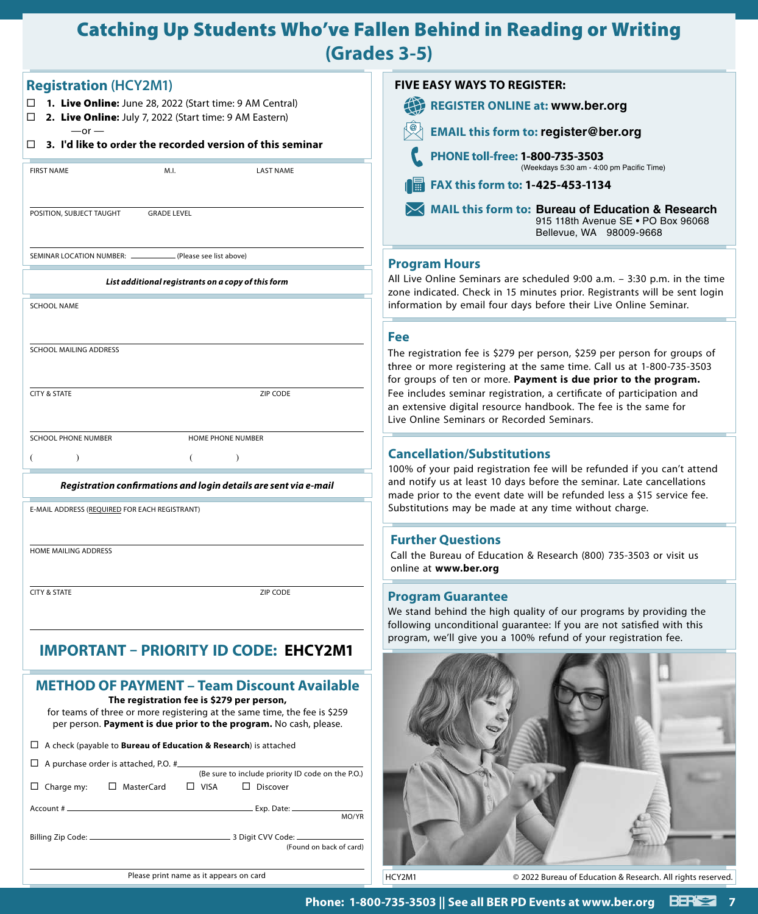# Catching Up Students Who've Fallen Behind in Reading or Writing **(Grades 3-5)**

| <b>Registration (HCY2M1)</b>                                                                                                                                                                | <b>FIVE EASY WAYS TO REGISTER:</b>                                                                                                                                                                                         |
|---------------------------------------------------------------------------------------------------------------------------------------------------------------------------------------------|----------------------------------------------------------------------------------------------------------------------------------------------------------------------------------------------------------------------------|
| $\Box$ 1. Live Online: June 28, 2022 (Start time: 9 AM Central)                                                                                                                             | 4<br><b>REGISTER ONLINE at: www.ber.org</b>                                                                                                                                                                                |
| 2. Live Online: July 7, 2022 (Start time: 9 AM Eastern)<br>□<br>$-$ or $-$                                                                                                                  | <b>EMAIL this form to: register@ber.org</b>                                                                                                                                                                                |
| 3. I'd like to order the recorded version of this seminar<br>□                                                                                                                              | PHONE toll-free: 1-800-735-3503                                                                                                                                                                                            |
| <b>FIRST NAME</b><br>M.I.<br><b>LAST NAME</b>                                                                                                                                               | (Weekdays 5:30 am - 4:00 pm Pacific Time)                                                                                                                                                                                  |
|                                                                                                                                                                                             | <b>FAX this form to: 1-425-453-1134</b>                                                                                                                                                                                    |
| POSITION, SUBJECT TAUGHT<br><b>GRADE LEVEL</b>                                                                                                                                              | <b>MAIL this form to: Bureau of Education &amp; Research</b><br>915 118th Avenue SE . PO Box 96068<br>Bellevue, WA 98009-9668                                                                                              |
| SEMINAR LOCATION NUMBER:<br>(Please see list above)                                                                                                                                         | <b>Program Hours</b>                                                                                                                                                                                                       |
| List additional registrants on a copy of this form                                                                                                                                          | All Live Online Seminars are scheduled 9:00 a.m. - 3:30 p.m. in the time<br>zone indicated. Check in 15 minutes prior. Registrants will be sent login                                                                      |
| <b>SCHOOL NAME</b>                                                                                                                                                                          | information by email four days before their Live Online Seminar.                                                                                                                                                           |
|                                                                                                                                                                                             | <b>Fee</b>                                                                                                                                                                                                                 |
| <b>SCHOOL MAILING ADDRESS</b>                                                                                                                                                               | The registration fee is \$279 per person, \$259 per person for groups of                                                                                                                                                   |
|                                                                                                                                                                                             | three or more registering at the same time. Call us at 1-800-735-3503<br>for groups of ten or more. Payment is due prior to the program.                                                                                   |
| <b>CITY &amp; STATE</b><br>ZIP CODE                                                                                                                                                         | Fee includes seminar registration, a certificate of participation and<br>an extensive digital resource handbook. The fee is the same for<br>Live Online Seminars or Recorded Seminars.                                     |
| <b>SCHOOL PHONE NUMBER</b><br>HOME PHONE NUMBER                                                                                                                                             |                                                                                                                                                                                                                            |
|                                                                                                                                                                                             | <b>Cancellation/Substitutions</b>                                                                                                                                                                                          |
| Registration confirmations and login details are sent via e-mail                                                                                                                            | 100% of your paid registration fee will be refunded if you can't attend<br>and notify us at least 10 days before the seminar. Late cancellations<br>made prior to the event date will be refunded less a \$15 service fee. |
| E-MAIL ADDRESS (REQUIRED FOR EACH REGISTRANT)                                                                                                                                               | Substitutions may be made at any time without charge.                                                                                                                                                                      |
|                                                                                                                                                                                             | <b>Further Questions</b>                                                                                                                                                                                                   |
| <b>HOME MAILING ADDRESS</b>                                                                                                                                                                 | Call the Bureau of Education & Research (800) 735-3503 or visit us<br>online at www.ber.org                                                                                                                                |
| <b>CITY &amp; STATE</b><br>ZIP CODE                                                                                                                                                         | <b>Program Guarantee</b>                                                                                                                                                                                                   |
|                                                                                                                                                                                             | We stand behind the high quality of our programs by providing the                                                                                                                                                          |
|                                                                                                                                                                                             | following unconditional quarantee: If you are not satisfied with this<br>program, we'll give you a 100% refund of your registration fee.                                                                                   |
| <b>IMPORTANT - PRIORITY ID CODE: EHCY2M1</b>                                                                                                                                                |                                                                                                                                                                                                                            |
| <b>METHOD OF PAYMENT - Team Discount Available</b>                                                                                                                                          |                                                                                                                                                                                                                            |
| The registration fee is \$279 per person,<br>for teams of three or more registering at the same time, the fee is \$259<br>per person. Payment is due prior to the program. No cash, please. |                                                                                                                                                                                                                            |
| $\Box$ A check (payable to <b>Bureau of Education &amp; Research</b> ) is attached                                                                                                          |                                                                                                                                                                                                                            |
| $\Box$ A purchase order is attached, P.O. # $\Box$                                                                                                                                          |                                                                                                                                                                                                                            |
| (Be sure to include priority ID code on the P.O.)<br>□ MasterCard<br>$\Box$ VISA<br>$\Box$ Discover<br>$\Box$ Charge my:                                                                    |                                                                                                                                                                                                                            |
| Account #                                                                                                                                                                                   |                                                                                                                                                                                                                            |
| MO/YR                                                                                                                                                                                       |                                                                                                                                                                                                                            |
| (Found on back of card)                                                                                                                                                                     |                                                                                                                                                                                                                            |
| Please print name as it appears on card                                                                                                                                                     | HCY2M1<br>© 2022 Bureau of Education & Research. All rights reserved.                                                                                                                                                      |